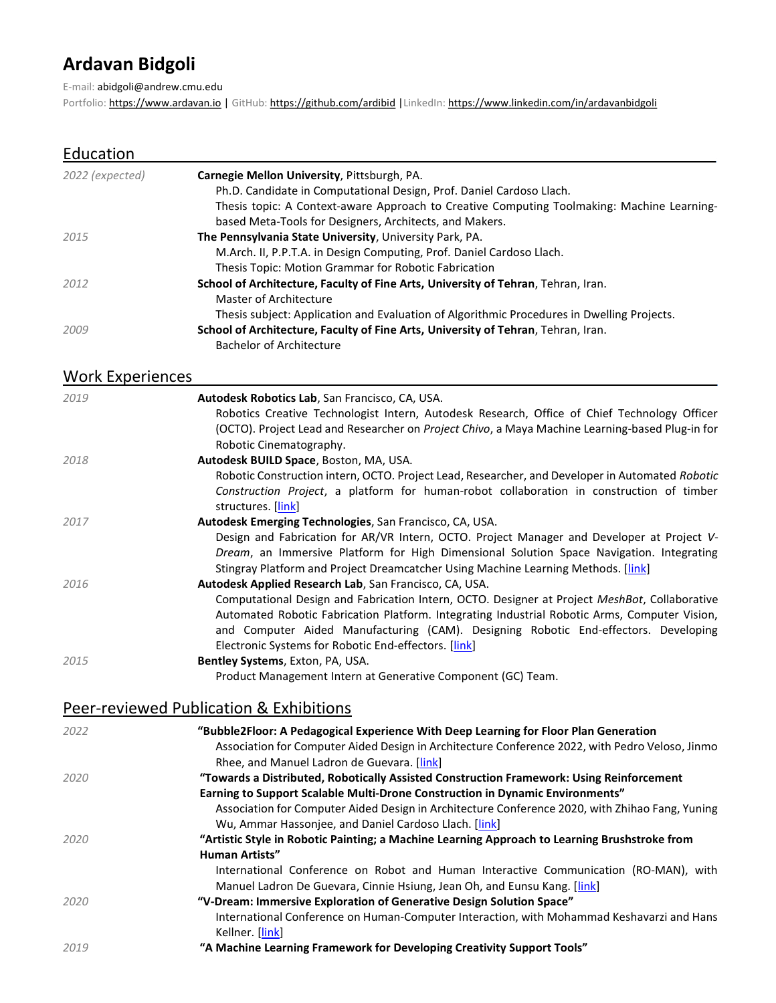# Ardavan Bidgoli

E-mail: abidgoli@andrew.cmu.edu

Portfolio: https://www.ardavan.io | GitHub: https://github.com/ardibid | LinkedIn: https://www.linkedin.com/in/ardavanbidgoli

| Education               |                                                                                                                                                                                                                                                                                                                                                                                                         |
|-------------------------|---------------------------------------------------------------------------------------------------------------------------------------------------------------------------------------------------------------------------------------------------------------------------------------------------------------------------------------------------------------------------------------------------------|
| 2022 (expected)         | Carnegie Mellon University, Pittsburgh, PA.<br>Ph.D. Candidate in Computational Design, Prof. Daniel Cardoso Llach.<br>Thesis topic: A Context-aware Approach to Creative Computing Toolmaking: Machine Learning-                                                                                                                                                                                       |
| 2015                    | based Meta-Tools for Designers, Architects, and Makers.<br>The Pennsylvania State University, University Park, PA.<br>M.Arch. II, P.P.T.A. in Design Computing, Prof. Daniel Cardoso Llach.                                                                                                                                                                                                             |
| 2012                    | Thesis Topic: Motion Grammar for Robotic Fabrication<br>School of Architecture, Faculty of Fine Arts, University of Tehran, Tehran, Iran.<br><b>Master of Architecture</b><br>Thesis subject: Application and Evaluation of Algorithmic Procedures in Dwelling Projects.                                                                                                                                |
| 2009                    | School of Architecture, Faculty of Fine Arts, University of Tehran, Tehran, Iran.<br><b>Bachelor of Architecture</b>                                                                                                                                                                                                                                                                                    |
| <b>Work Experiences</b> |                                                                                                                                                                                                                                                                                                                                                                                                         |
| 2019                    | Autodesk Robotics Lab, San Francisco, CA, USA.<br>Robotics Creative Technologist Intern, Autodesk Research, Office of Chief Technology Officer<br>(OCTO). Project Lead and Researcher on Project Chivo, a Maya Machine Learning-based Plug-in for<br>Robotic Cinematography.                                                                                                                            |
| 2018                    | Autodesk BUILD Space, Boston, MA, USA.<br>Robotic Construction intern, OCTO. Project Lead, Researcher, and Developer in Automated Robotic<br>Construction Project, a platform for human-robot collaboration in construction of timber<br>structures. [link]                                                                                                                                             |
| 2017                    | Autodesk Emerging Technologies, San Francisco, CA, USA.<br>Design and Fabrication for AR/VR Intern, OCTO. Project Manager and Developer at Project V-<br>Dream, an Immersive Platform for High Dimensional Solution Space Navigation. Integrating<br>Stingray Platform and Project Dreamcatcher Using Machine Learning Methods. [link]                                                                  |
| 2016                    | Autodesk Applied Research Lab, San Francisco, CA, USA.<br>Computational Design and Fabrication Intern, OCTO. Designer at Project MeshBot, Collaborative<br>Automated Robotic Fabrication Platform. Integrating Industrial Robotic Arms, Computer Vision,<br>and Computer Aided Manufacturing (CAM). Designing Robotic End-effectors. Developing<br>Electronic Systems for Robotic End-effectors. [link] |
| 2015                    | Bentley Systems, Exton, PA, USA.<br>Product Management Intern at Generative Component (GC) Team.                                                                                                                                                                                                                                                                                                        |
|                         | <b>Peer-reviewed Publication &amp; Exhibitions</b>                                                                                                                                                                                                                                                                                                                                                      |
| 2022                    | "Bubble2Floor: A Pedagogical Experience With Deep Learning for Floor Plan Generation<br>Association for Computer Aided Design in Architecture Conference 2022, with Pedro Veloso, Jinmo<br>Rhee, and Manuel Ladron de Guevara. [link]                                                                                                                                                                   |
| 2020                    | "Towards a Distributed, Robotically Assisted Construction Framework: Using Reinforcement<br>Earning to Support Scalable Multi-Drone Construction in Dynamic Environments"<br>Association for Computer Aided Design in Architecture Conference 2020, with Zhihao Fang, Yuning<br>Wu, Ammar Hassonjee, and Daniel Cardoso Llach. [link]                                                                   |
| 2020                    | "Artistic Style in Robotic Painting; a Machine Learning Approach to Learning Brushstroke from<br>Human Artists"<br>International Conference on Robot and Human Interactive Communication (RO-MAN), with<br>Manuel Ladron De Guevara, Cinnie Hsiung, Jean Oh, and Eunsu Kang. [link]                                                                                                                     |
| 2020                    | "V-Dream: Immersive Exploration of Generative Design Solution Space"<br>International Conference on Human-Computer Interaction, with Mohammad Keshavarzi and Hans<br>Kellner. [link]                                                                                                                                                                                                                    |
| 2019                    | "A Machine Learning Framework for Developing Creativity Support Tools"                                                                                                                                                                                                                                                                                                                                  |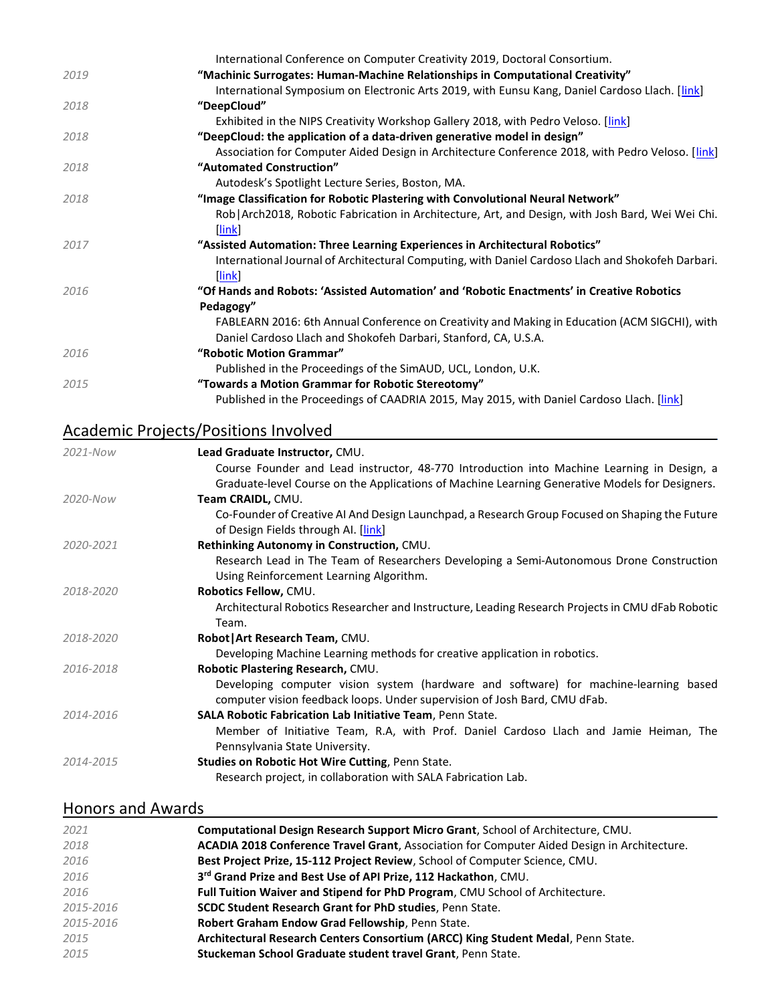|      | International Conference on Computer Creativity 2019, Doctoral Consortium.                          |
|------|-----------------------------------------------------------------------------------------------------|
| 2019 | "Machinic Surrogates: Human-Machine Relationships in Computational Creativity"                      |
|      | International Symposium on Electronic Arts 2019, with Eunsu Kang, Daniel Cardoso Llach. [link]      |
| 2018 | "DeepCloud"                                                                                         |
|      | Exhibited in the NIPS Creativity Workshop Gallery 2018, with Pedro Veloso. [link]                   |
| 2018 | "DeepCloud: the application of a data-driven generative model in design"                            |
|      | Association for Computer Aided Design in Architecture Conference 2018, with Pedro Veloso. [link]    |
| 2018 | "Automated Construction"                                                                            |
|      | Autodesk's Spotlight Lecture Series, Boston, MA.                                                    |
| 2018 | "Image Classification for Robotic Plastering with Convolutional Neural Network"                     |
|      | Rob   Arch 2018, Robotic Fabrication in Architecture, Art, and Design, with Josh Bard, Wei Wei Chi. |
|      | [link]                                                                                              |
| 2017 | "Assisted Automation: Three Learning Experiences in Architectural Robotics"                         |
|      | International Journal of Architectural Computing, with Daniel Cardoso Llach and Shokofeh Darbari.   |
|      | [link]                                                                                              |
| 2016 | "Of Hands and Robots: 'Assisted Automation' and 'Robotic Enactments' in Creative Robotics           |
|      | Pedagogy"                                                                                           |
|      | FABLEARN 2016: 6th Annual Conference on Creativity and Making in Education (ACM SIGCHI), with       |
|      | Daniel Cardoso Llach and Shokofeh Darbari, Stanford, CA, U.S.A.                                     |
| 2016 | "Robotic Motion Grammar"                                                                            |
|      | Published in the Proceedings of the SimAUD, UCL, London, U.K.                                       |
| 2015 | "Towards a Motion Grammar for Robotic Stereotomy"                                                   |
|      | Published in the Proceedings of CAADRIA 2015, May 2015, with Daniel Cardoso Llach. [link]           |
|      |                                                                                                     |

## Academic Projects/Positions Involved .

| 2021-Now  | Lead Graduate Instructor, CMU.                                                                   |
|-----------|--------------------------------------------------------------------------------------------------|
|           | Course Founder and Lead instructor, 48-770 Introduction into Machine Learning in Design, a       |
|           | Graduate-level Course on the Applications of Machine Learning Generative Models for Designers.   |
| 2020-Now  | Team CRAIDL, CMU.                                                                                |
|           | Co-Founder of Creative AI And Design Launchpad, a Research Group Focused on Shaping the Future   |
|           | of Design Fields through AI. [link]                                                              |
| 2020-2021 | Rethinking Autonomy in Construction, CMU.                                                        |
|           | Research Lead in The Team of Researchers Developing a Semi-Autonomous Drone Construction         |
|           | Using Reinforcement Learning Algorithm.                                                          |
| 2018-2020 | Robotics Fellow, CMU.                                                                            |
|           | Architectural Robotics Researcher and Instructure, Leading Research Projects in CMU dFab Robotic |
|           | Team.                                                                                            |
| 2018-2020 | Robot   Art Research Team, CMU.                                                                  |
|           | Developing Machine Learning methods for creative application in robotics.                        |
| 2016-2018 | Robotic Plastering Research, CMU.                                                                |
|           | Developing computer vision system (hardware and software) for machine-learning based             |
|           | computer vision feedback loops. Under supervision of Josh Bard, CMU dFab.                        |
| 2014-2016 | SALA Robotic Fabrication Lab Initiative Team, Penn State.                                        |
|           | Member of Initiative Team, R.A, with Prof. Daniel Cardoso Llach and Jamie Heiman, The            |
|           | Pennsylvania State University.                                                                   |
| 2014-2015 | <b>Studies on Robotic Hot Wire Cutting, Penn State.</b>                                          |
|           | Research project, in collaboration with SALA Fabrication Lab.                                    |

### Honors and Awards .

| 2021      | Computational Design Research Support Micro Grant, School of Architecture, CMU.             |
|-----------|---------------------------------------------------------------------------------------------|
| 2018      | ACADIA 2018 Conference Travel Grant, Association for Computer Aided Design in Architecture. |
| 2016      | Best Project Prize, 15-112 Project Review, School of Computer Science, CMU.                 |
| 2016      | 3rd Grand Prize and Best Use of API Prize, 112 Hackathon, CMU.                              |
| 2016      | Full Tuition Waiver and Stipend for PhD Program, CMU School of Architecture.                |
| 2015-2016 | SCDC Student Research Grant for PhD studies, Penn State.                                    |
| 2015-2016 | Robert Graham Endow Grad Fellowship, Penn State.                                            |
| 2015      | Architectural Research Centers Consortium (ARCC) King Student Medal, Penn State.            |
| 2015      | Stuckeman School Graduate student travel Grant, Penn State.                                 |